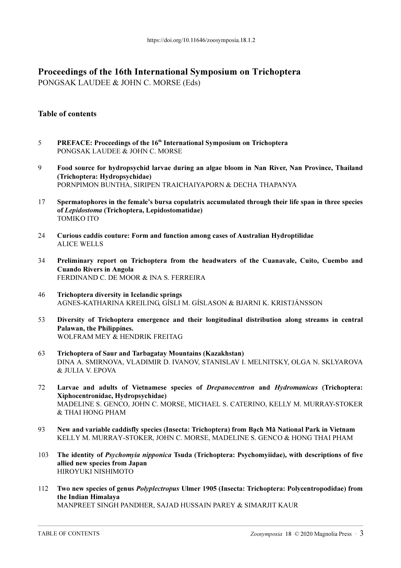## Proceedings of the 16th International Symposium on Trichoptera

PONGSAK LAUDEE & JOHN C. MORSE (Eds)

## Table of contents

- 5 PREFACE: Proceedings of the 16<sup>th</sup> International Symposium on Trichoptera PONGSAK LAUDEE & JOHN C. MORSE
- 9 Food source for hydropsychid larvae during an algae bloom in Nan River, Nan Province, Thailand (Trichoptera: Hydropsychidae) PORNPIMON BUNTHA, SIRIPEN TRAICHAIYAPORN & DECHA THAPANYA
- 17 Spermatophores in the female's bursa copulatrix accumulated through their life span in three species of Lepidostoma (Trichoptera, Lepidostomatidae) TOMIKO ITO
- 24 Curious caddis couture: Form and function among cases of Australian Hydroptilidae ALICE WELLS
- 34 Preliminary report on Trichoptera from the headwaters of the Cuanavale, Cuito, Cuembo and Cuando Rivers in Angola FERDINAND C. DE MOOR & INA S. FERREIRA
- 46 Trichoptera diversity in Icelandic springs AGNES-KATHARINA KREILING, GÍSLI M. GÍSLASON & BJARNI K. KRISTJÁNSSON
- 53 Diversity of Trichoptera emergence and their longitudinal distribution along streams in central Palawan, the Philippines. WOLFRAM MEY & HENDRIK FREITAG
- 63 Trichoptera of Saur and Tarbagatay Mountains (Kazakhstan) DINA A. SMIRNOVA, VLADIMIR D. IVANOV, STANISLAV I. MELNITSKY, OLGA N. SKLYAROVA & JULIA V. EPOVA
- 72 Larvae and adults of Vietnamese species of Drepanocentron and Hydromanicus (Trichoptera: Xiphocentronidae, Hydropsychidae) MADELINE S. GENCO, JOHN C. MORSE, MICHAEL S. CATERINO, KELLY M. MURRAY-STOKER & THAI HONG PHAM
- 93 New and variable caddisfly species (Insecta: Trichoptera) from Bạch Mã National Park in Vietnam KELLY M. MURRAY-STOKER, JOHN C. MORSE, MADELINE S. GENCO & HONG THAI PHAM
- 103 The identity of Psychomyia nipponica Tsuda (Trichoptera: Psychomyiidae), with descriptions of five allied new species from Japan HIROYUKI NISHIMOTO
- 112 Two new species of genus Polyplectropus Ulmer 1905 (Insecta: Trichoptera: Polycentropodidae) from the Indian Himalaya

MANPREET SINGH PANDHER, SAJAD HUSSAIN PAREY & SIMARJIT KAUR